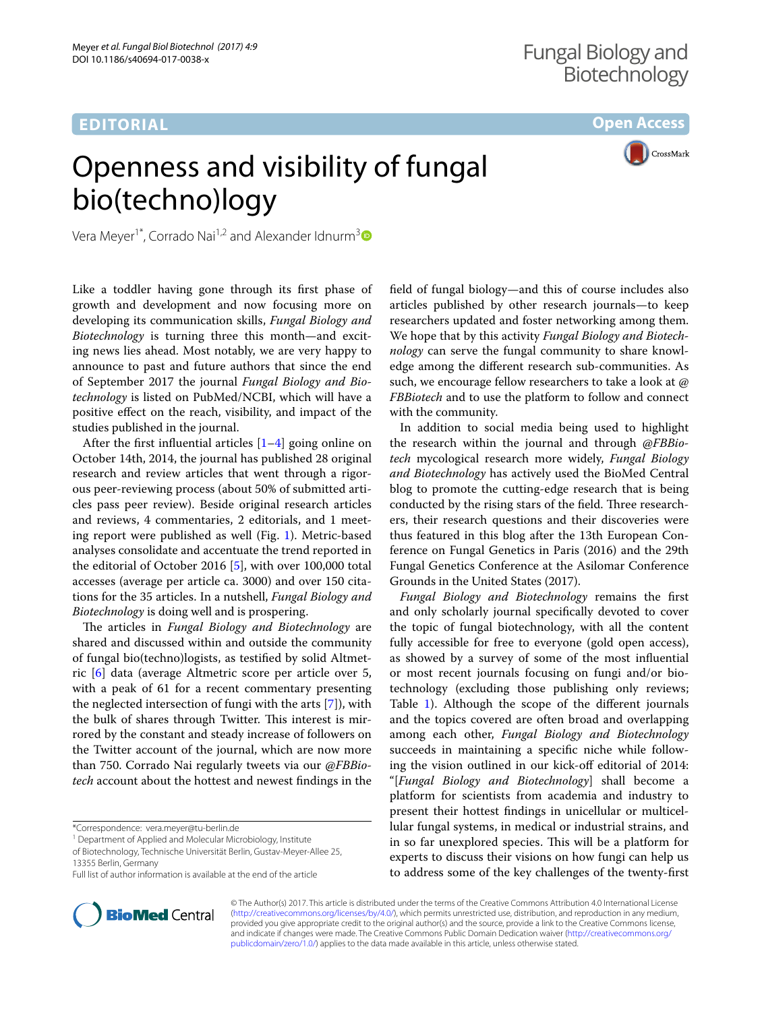# **EDITORIAL**

**Open Access**

# Openness and visibility of fungal bio(techno)logy

CrossMark

Vera Meyer<sup>1\*</sup>, Corrado Nai<sup>1,2</sup> and Alexander Idnurm<sup>[3](http://orcid.org/0000-0001-5995-7040)</sup>

Like a toddler having gone through its frst phase of growth and development and now focusing more on developing its communication skills, *Fungal Biology and Biotechnology* is turning three this month—and exciting news lies ahead. Most notably, we are very happy to announce to past and future authors that since the end of September 2017 the journal *Fungal Biology and Biotechnology* is listed on PubMed/NCBI, which will have a positive efect on the reach, visibility, and impact of the studies published in the journal.

After the first influential articles  $[1-4]$  $[1-4]$  going online on October 14th, 2014, the journal has published 28 original research and review articles that went through a rigorous peer-reviewing process (about 50% of submitted articles pass peer review). Beside original research articles and reviews, 4 commentaries, 2 editorials, and 1 meeting report were published as well (Fig. [1\)](#page-1-0). Metric-based analyses consolidate and accentuate the trend reported in the editorial of October 2016 [[5\]](#page-2-2), with over 100,000 total accesses (average per article ca. 3000) and over 150 citations for the 35 articles. In a nutshell, *Fungal Biology and Biotechnology* is doing well and is prospering.

The articles in *Fungal Biology and Biotechnology* are shared and discussed within and outside the community of fungal bio(techno)logists, as testifed by solid Altmetric [[6\]](#page-2-3) data (average Altmetric score per article over 5, with a peak of 61 for a recent commentary presenting the neglected intersection of fungi with the arts [\[7](#page-2-4)]), with the bulk of shares through Twitter. This interest is mirrored by the constant and steady increase of followers on the Twitter account of the journal, which are now more than 750. Corrado Nai regularly tweets via our *@FBBiotech* account about the hottest and newest fndings in the

Full list of author information is available at the end of the article



feld of fungal biology—and this of course includes also articles published by other research journals—to keep researchers updated and foster networking among them. We hope that by this activity *Fungal Biology and Biotechnology* can serve the fungal community to share knowledge among the diferent research sub-communities. As such, we encourage fellow researchers to take a look at *@ FBBiotech* and to use the platform to follow and connect with the community.

In addition to social media being used to highlight the research within the journal and through *@FBBiotech* mycological research more widely, *Fungal Biology and Biotechnology* has actively used the BioMed Central blog to promote the cutting-edge research that is being conducted by the rising stars of the field. Three researchers, their research questions and their discoveries were thus featured in this blog after the 13th European Conference on Fungal Genetics in Paris (2016) and the 29th Fungal Genetics Conference at the Asilomar Conference Grounds in the United States (2017).

*Fungal Biology and Biotechnology* remains the frst and only scholarly journal specifcally devoted to cover the topic of fungal biotechnology, with all the content fully accessible for free to everyone (gold open access), as showed by a survey of some of the most infuential or most recent journals focusing on fungi and/or biotechnology (excluding those publishing only reviews; Table [1](#page-1-1)). Although the scope of the diferent journals and the topics covered are often broad and overlapping among each other, *Fungal Biology and Biotechnology* succeeds in maintaining a specifc niche while following the vision outlined in our kick-off editorial of 2014: "[*Fungal Biology and Biotechnology*] shall become a platform for scientists from academia and industry to present their hottest fndings in unicellular or multicellular fungal systems, in medical or industrial strains, and in so far unexplored species. This will be a platform for experts to discuss their visions on how fungi can help us to address some of the key challenges of the twenty-frst

© The Author(s) 2017. This article is distributed under the terms of the Creative Commons Attribution 4.0 International License [\(http://creativecommons.org/licenses/by/4.0/\)](http://creativecommons.org/licenses/by/4.0/), which permits unrestricted use, distribution, and reproduction in any medium, provided you give appropriate credit to the original author(s) and the source, provide a link to the Creative Commons license, and indicate if changes were made. The Creative Commons Public Domain Dedication waiver ([http://creativecommons.org/](http://creativecommons.org/publicdomain/zero/1.0/) [publicdomain/zero/1.0/](http://creativecommons.org/publicdomain/zero/1.0/)) applies to the data made available in this article, unless otherwise stated.

<sup>\*</sup>Correspondence: vera.meyer@tu‑berlin.de

<sup>&</sup>lt;sup>1</sup> Department of Applied and Molecular Microbiology, Institute

of Biotechnology, Technische Universität Berlin, Gustav‑Meyer‑Allee 25,

<sup>13355</sup> Berlin, Germany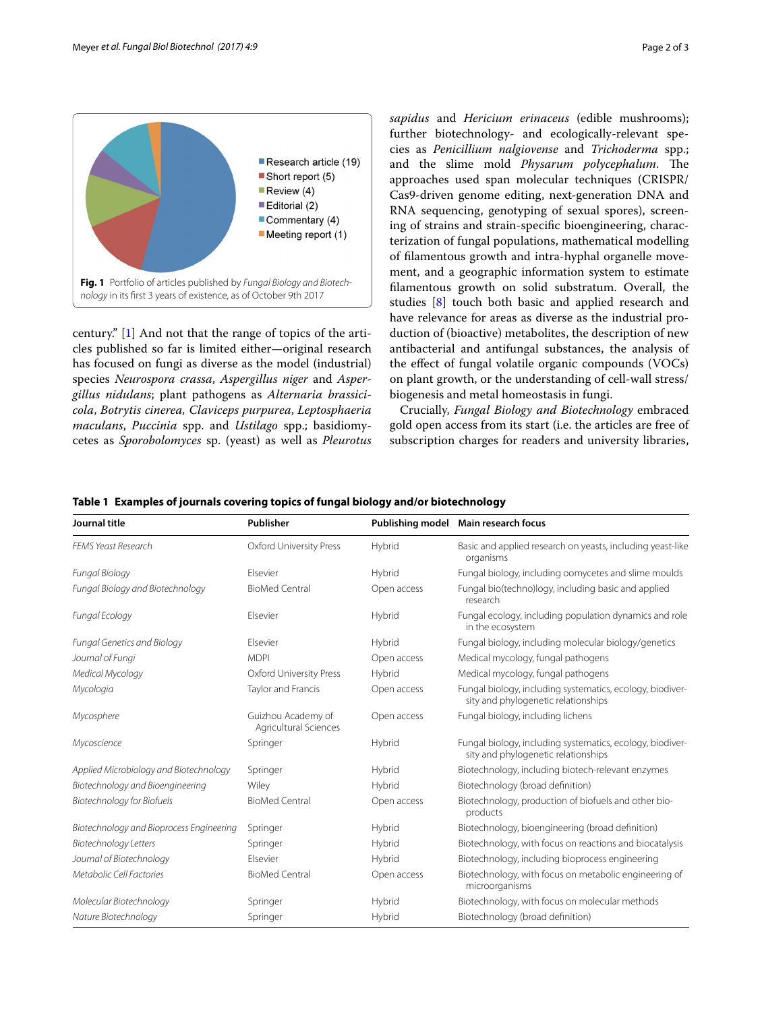

<span id="page-1-0"></span>century." [[1\]](#page-2-0) And not that the range of topics of the articles published so far is limited either—original research has focused on fungi as diverse as the model (industrial) species *Neurospora crassa*, *Aspergillus niger* and *Aspergillus nidulans*; plant pathogens as *Alternaria brassicicola*, *Botrytis cinerea, Claviceps purpurea*, *Leptosphaeria maculans*, *Puccinia* spp. and *Ustilago* spp.; basidiomycetes as *Sporobolomyces* sp. (yeast) as well as *Pleurotus*  *sapidus* and *Hericium erinaceus* (edible mushrooms); further biotechnology- and ecologically-relevant species as *Penicillium nalgiovense* and *Trichoderma* spp.; and the slime mold *Physarum polycephalum*. The approaches used span molecular techniques (CRISPR/ Cas9-driven genome editing, next-generation DNA and RNA sequencing, genotyping of sexual spores), screening of strains and strain-specifc bioengineering, characterization of fungal populations, mathematical modelling of flamentous growth and intra-hyphal organelle movement, and a geographic information system to estimate flamentous growth on solid substratum. Overall, the studies [[8\]](#page-2-5) touch both basic and applied research and have relevance for areas as diverse as the industrial production of (bioactive) metabolites, the description of new antibacterial and antifungal substances, the analysis of the efect of fungal volatile organic compounds (VOCs) on plant growth, or the understanding of cell-wall stress/ biogenesis and metal homeostasis in fungi.

Crucially, *Fungal Biology and Biotechnology* embraced gold open access from its start (i.e. the articles are free of subscription charges for readers and university libraries,

| Journal title                            | Publisher                                   |             | Publishing model Main research focus                                                             |
|------------------------------------------|---------------------------------------------|-------------|--------------------------------------------------------------------------------------------------|
| <b>FEMS Yeast Research</b>               | Oxford University Press                     | Hybrid      | Basic and applied research on yeasts, including yeast-like<br>organisms                          |
| <b>Fungal Biology</b>                    | <b>Flsevier</b>                             | Hybrid      | Fungal biology, including oomycetes and slime moulds                                             |
| Fungal Biology and Biotechnology         | <b>BioMed Central</b>                       | Open access | Fungal bio(techno)logy, including basic and applied<br>research                                  |
| Fungal Ecology                           | Elsevier                                    | Hybrid      | Fungal ecology, including population dynamics and role<br>in the ecosystem                       |
| Fungal Genetics and Biology              | Flsevier                                    | Hybrid      | Fungal biology, including molecular biology/genetics                                             |
| Journal of Fungi                         | <b>MDPI</b>                                 | Open access | Medical mycology, fungal pathogens                                                               |
| Medical Mycology                         | Oxford University Press                     | Hybrid      | Medical mycology, fungal pathogens                                                               |
| Mycologia                                | Taylor and Francis                          | Open access | Fungal biology, including systematics, ecology, biodiver-<br>sity and phylogenetic relationships |
| Mycosphere                               | Guizhou Academy of<br>Agricultural Sciences | Open access | Fungal biology, including lichens                                                                |
| Mycoscience                              | Springer                                    | Hybrid      | Fungal biology, including systematics, ecology, biodiver-<br>sity and phylogenetic relationships |
| Applied Microbiology and Biotechnology   | Springer                                    | Hybrid      | Biotechnology, including biotech-relevant enzymes                                                |
| Biotechnology and Bioengineering         | Wiley                                       | Hybrid      | Biotechnology (broad definition)                                                                 |
| <b>Biotechnology for Biofuels</b>        | <b>BioMed Central</b>                       | Open access | Biotechnology, production of biofuels and other bio-<br>products                                 |
| Biotechnology and Bioprocess Engineering | Springer                                    | Hybrid      | Biotechnology, bioengineering (broad definition)                                                 |
| <b>Biotechnology Letters</b>             | Springer                                    | Hybrid      | Biotechnology, with focus on reactions and biocatalysis                                          |
| Journal of Biotechnology                 | Elsevier                                    | Hybrid      | Biotechnology, including bioprocess engineering                                                  |
| Metabolic Cell Factories                 | <b>BioMed Central</b>                       | Open access | Biotechnology, with focus on metabolic engineering of<br>microorganisms                          |
| Molecular Biotechnology                  | Springer                                    | Hybrid      | Biotechnology, with focus on molecular methods                                                   |
| Nature Biotechnology                     | Springer                                    | Hybrid      | Biotechnology (broad definition)                                                                 |

<span id="page-1-1"></span>**Table 1 Examples of journals covering topics of fungal biology and/or biotechnology**